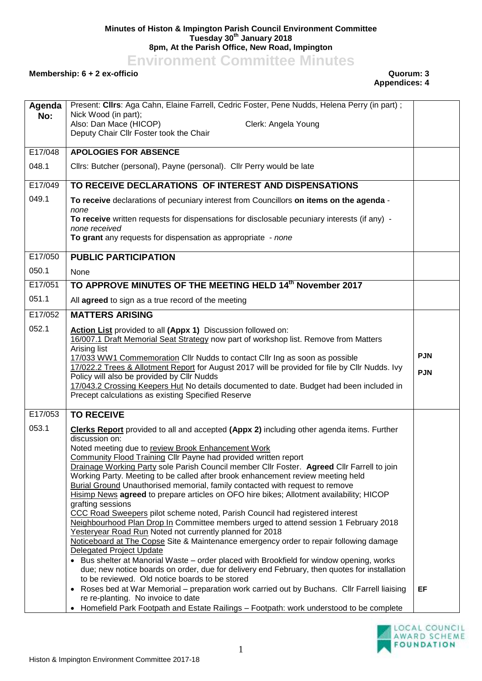## **Minutes of Histon & Impington Parish Council Environment Committee Tuesday 30th January 2018 8pm, At the Parish Office, New Road, Impington**

**Environment Committee Minutes**

## **Membership: 6 + 2 ex-officio Quorum: 3**

## **Appendices: 4**

| Agenda<br>No: | Present: Clirs: Aga Cahn, Elaine Farrell, Cedric Foster, Pene Nudds, Helena Perry (in part);<br>Nick Wood (in part);<br>Also: Dan Mace (HICOP)<br>Clerk: Angela Young<br>Deputy Chair Cllr Foster took the Chair                                                                                                                                                                                                                                                                                                                                                                                                                                                                                                                                                                                                                                                                                                                                                                                                                                                                                                                                                                                                                            |                          |
|---------------|---------------------------------------------------------------------------------------------------------------------------------------------------------------------------------------------------------------------------------------------------------------------------------------------------------------------------------------------------------------------------------------------------------------------------------------------------------------------------------------------------------------------------------------------------------------------------------------------------------------------------------------------------------------------------------------------------------------------------------------------------------------------------------------------------------------------------------------------------------------------------------------------------------------------------------------------------------------------------------------------------------------------------------------------------------------------------------------------------------------------------------------------------------------------------------------------------------------------------------------------|--------------------------|
| E17/048       | <b>APOLOGIES FOR ABSENCE</b>                                                                                                                                                                                                                                                                                                                                                                                                                                                                                                                                                                                                                                                                                                                                                                                                                                                                                                                                                                                                                                                                                                                                                                                                                |                          |
| 048.1         | Cllrs: Butcher (personal), Payne (personal). Cllr Perry would be late                                                                                                                                                                                                                                                                                                                                                                                                                                                                                                                                                                                                                                                                                                                                                                                                                                                                                                                                                                                                                                                                                                                                                                       |                          |
| E17/049       | TO RECEIVE DECLARATIONS OF INTEREST AND DISPENSATIONS                                                                                                                                                                                                                                                                                                                                                                                                                                                                                                                                                                                                                                                                                                                                                                                                                                                                                                                                                                                                                                                                                                                                                                                       |                          |
| 049.1         | To receive declarations of pecuniary interest from Councillors on items on the agenda -<br>none                                                                                                                                                                                                                                                                                                                                                                                                                                                                                                                                                                                                                                                                                                                                                                                                                                                                                                                                                                                                                                                                                                                                             |                          |
|               | To receive written requests for dispensations for disclosable pecuniary interests (if any) -<br>none received<br>To grant any requests for dispensation as appropriate - none                                                                                                                                                                                                                                                                                                                                                                                                                                                                                                                                                                                                                                                                                                                                                                                                                                                                                                                                                                                                                                                               |                          |
|               |                                                                                                                                                                                                                                                                                                                                                                                                                                                                                                                                                                                                                                                                                                                                                                                                                                                                                                                                                                                                                                                                                                                                                                                                                                             |                          |
| E17/050       | <b>PUBLIC PARTICIPATION</b>                                                                                                                                                                                                                                                                                                                                                                                                                                                                                                                                                                                                                                                                                                                                                                                                                                                                                                                                                                                                                                                                                                                                                                                                                 |                          |
| 050.1         | None                                                                                                                                                                                                                                                                                                                                                                                                                                                                                                                                                                                                                                                                                                                                                                                                                                                                                                                                                                                                                                                                                                                                                                                                                                        |                          |
| E17/051       | TO APPROVE MINUTES OF THE MEETING HELD 14th November 2017                                                                                                                                                                                                                                                                                                                                                                                                                                                                                                                                                                                                                                                                                                                                                                                                                                                                                                                                                                                                                                                                                                                                                                                   |                          |
| 051.1         | All agreed to sign as a true record of the meeting                                                                                                                                                                                                                                                                                                                                                                                                                                                                                                                                                                                                                                                                                                                                                                                                                                                                                                                                                                                                                                                                                                                                                                                          |                          |
| E17/052       | <b>MATTERS ARISING</b>                                                                                                                                                                                                                                                                                                                                                                                                                                                                                                                                                                                                                                                                                                                                                                                                                                                                                                                                                                                                                                                                                                                                                                                                                      |                          |
| 052.1         | Action List provided to all (Appx 1) Discussion followed on:<br>16/007.1 Draft Memorial Seat Strategy now part of workshop list. Remove from Matters<br>Arising list<br>17/033 WW1 Commemoration Cllr Nudds to contact Cllr Ing as soon as possible<br>17/022.2 Trees & Allotment Report for August 2017 will be provided for file by Cllr Nudds. Ivy<br>Policy will also be provided by Cllr Nudds<br>17/043.2 Crossing Keepers Hut No details documented to date. Budget had been included in<br>Precept calculations as existing Specified Reserve                                                                                                                                                                                                                                                                                                                                                                                                                                                                                                                                                                                                                                                                                       | <b>PJN</b><br><b>PJN</b> |
| E17/053       | <b>TO RECEIVE</b>                                                                                                                                                                                                                                                                                                                                                                                                                                                                                                                                                                                                                                                                                                                                                                                                                                                                                                                                                                                                                                                                                                                                                                                                                           |                          |
| 053.1         | <b>Clerks Report</b> provided to all and accepted (Appx 2) including other agenda items. Further<br>discussion on:<br>Noted meeting due to review Brook Enhancement Work<br>Community Flood Training Cllr Payne had provided written report<br>Drainage Working Party sole Parish Council member Cllr Foster. Agreed Cllr Farrell to join<br>Working Party. Meeting to be called after brook enhancement review meeting held<br>Burial Ground Unauthorised memorial, family contacted with request to remove<br>Hisimp News agreed to prepare articles on OFO hire bikes; Allotment availability; HICOP<br>grafting sessions<br>CCC Road Sweepers pilot scheme noted, Parish Council had registered interest<br>Neighbourhood Plan Drop In Committee members urged to attend session 1 February 2018<br>Yesteryear Road Run Noted not currently planned for 2018<br>Noticeboard at The Copse Site & Maintenance emergency order to repair following damage<br><b>Delegated Project Update</b><br>• Bus shelter at Manorial Waste - order placed with Brookfield for window opening, works<br>due; new notice boards on order, due for delivery end February, then quotes for installation<br>to be reviewed. Old notice boards to be stored |                          |
|               | • Roses bed at War Memorial – preparation work carried out by Buchans. Cllr Farrell liaising<br>re re-planting. No invoice to date<br>• Homefield Park Footpath and Estate Railings - Footpath: work understood to be complete                                                                                                                                                                                                                                                                                                                                                                                                                                                                                                                                                                                                                                                                                                                                                                                                                                                                                                                                                                                                              | EF                       |

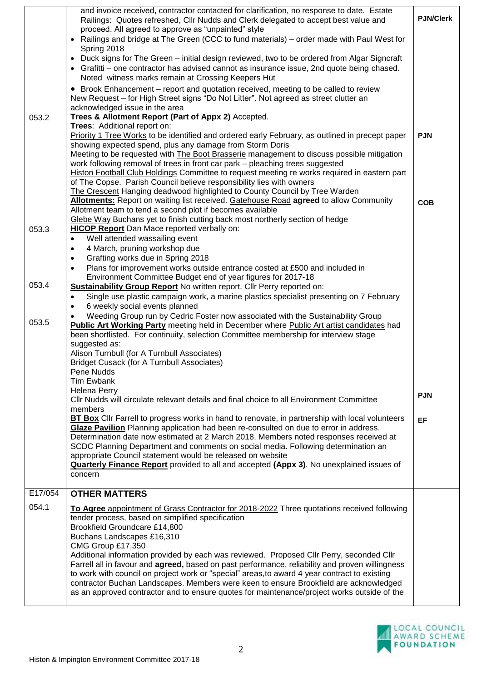|         | and invoice received, contractor contacted for clarification, no response to date. Estate<br>Railings: Quotes refreshed, Cllr Nudds and Clerk delegated to accept best value and<br>proceed. All agreed to approve as "unpainted" style<br>• Railings and bridge at The Green (CCC to fund materials) – order made with Paul West for<br>Spring 2018<br>Duck signs for The Green – initial design reviewed, two to be ordered from Algar Signcraft<br>$\bullet$                                                                                                                                                                                                                                                                     | <b>PJN/Clerk</b> |
|---------|-------------------------------------------------------------------------------------------------------------------------------------------------------------------------------------------------------------------------------------------------------------------------------------------------------------------------------------------------------------------------------------------------------------------------------------------------------------------------------------------------------------------------------------------------------------------------------------------------------------------------------------------------------------------------------------------------------------------------------------|------------------|
|         | Grafitti – one contractor has advised cannot as insurance issue, 2nd quote being chased.<br>Noted witness marks remain at Crossing Keepers Hut<br>Brook Enhancement – report and quotation received, meeting to be called to review<br>$\bullet$                                                                                                                                                                                                                                                                                                                                                                                                                                                                                    |                  |
| 053.2   | New Request - for High Street signs "Do Not Litter". Not agreed as street clutter an<br>acknowledged issue in the area<br>Trees & Allotment Report (Part of Appx 2) Accepted.                                                                                                                                                                                                                                                                                                                                                                                                                                                                                                                                                       |                  |
|         | Trees: Additional report on:<br>Priority 1 Tree Works to be identified and ordered early February, as outlined in precept paper<br>showing expected spend, plus any damage from Storm Doris<br>Meeting to be requested with The Boot Brasserie management to discuss possible mitigation<br>work following removal of trees in front car park - pleaching trees suggested<br>Histon Football Club Holdings Committee to request meeting re works required in eastern part<br>of The Copse. Parish Council believe responsibility lies with owners<br>The Crescent Hanging deadwood highlighted to County Council by Tree Warden                                                                                                     | <b>PJN</b>       |
| 053.3   | <b>Allotments:</b> Report on waiting list received. Gatehouse Road agreed to allow Community<br>Allotment team to tend a second plot if becomes available<br>Glebe Way Buchans yet to finish cutting back most northerly section of hedge<br><b>HICOP Report</b> Dan Mace reported verbally on:                                                                                                                                                                                                                                                                                                                                                                                                                                     | <b>COB</b>       |
|         | Well attended wassailing event<br>$\bullet$<br>4 March, pruning workshop due<br>$\bullet$<br>Grafting works due in Spring 2018<br>$\bullet$<br>Plans for improvement works outside entrance costed at £500 and included in<br>$\bullet$<br>Environment Committee Budget end of year figures for 2017-18                                                                                                                                                                                                                                                                                                                                                                                                                             |                  |
| 053.4   | Sustainability Group Report No written report. Cllr Perry reported on:<br>Single use plastic campaign work, a marine plastics specialist presenting on 7 February<br>$\bullet$<br>6 weekly social events planned<br>$\bullet$                                                                                                                                                                                                                                                                                                                                                                                                                                                                                                       |                  |
| 053.5   | Weeding Group run by Cedric Foster now associated with the Sustainability Group<br><b>Public Art Working Party</b> meeting held in December where Public Art artist candidates had<br>been shortlisted. For continuity, selection Committee membership for interview stage<br>suggested as:<br>Alison Turnbull (for A Turnbull Associates)<br><b>Bridget Cusack (for A Turnbull Associates)</b><br>Pene Nudds<br>Tim Ewbank                                                                                                                                                                                                                                                                                                         |                  |
|         | Helena Perry<br>CIIr Nudds will circulate relevant details and final choice to all Environment Committee                                                                                                                                                                                                                                                                                                                                                                                                                                                                                                                                                                                                                            | <b>PJN</b>       |
|         | members<br>BT Box Cllr Farrell to progress works in hand to renovate, in partnership with local volunteers<br>Glaze Pavilion Planning application had been re-consulted on due to error in address.<br>Determination date now estimated at 2 March 2018. Members noted responses received at<br>SCDC Planning Department and comments on social media. Following determination an<br>appropriate Council statement would be released on website<br><b>Quarterly Finance Report</b> provided to all and accepted (Appx 3). No unexplained issues of<br>concern                                                                                                                                                                       | <b>EF</b>        |
| E17/054 | <b>OTHER MATTERS</b>                                                                                                                                                                                                                                                                                                                                                                                                                                                                                                                                                                                                                                                                                                                |                  |
| 054.1   | To Agree appointment of Grass Contractor for 2018-2022 Three quotations received following<br>tender process, based on simplified specification<br>Brookfield Groundcare £14,800<br>Buchans Landscapes £16,310<br>CMG Group £17,350<br>Additional information provided by each was reviewed. Proposed Cllr Perry, seconded Cllr<br>Farrell all in favour and <b>agreed</b> , based on past performance, reliability and proven willingness<br>to work with council on project work or "special" areas, to award 4 year contract to existing<br>contractor Buchan Landscapes. Members were keen to ensure Brookfield are acknowledged<br>as an approved contractor and to ensure quotes for maintenance/project works outside of the |                  |